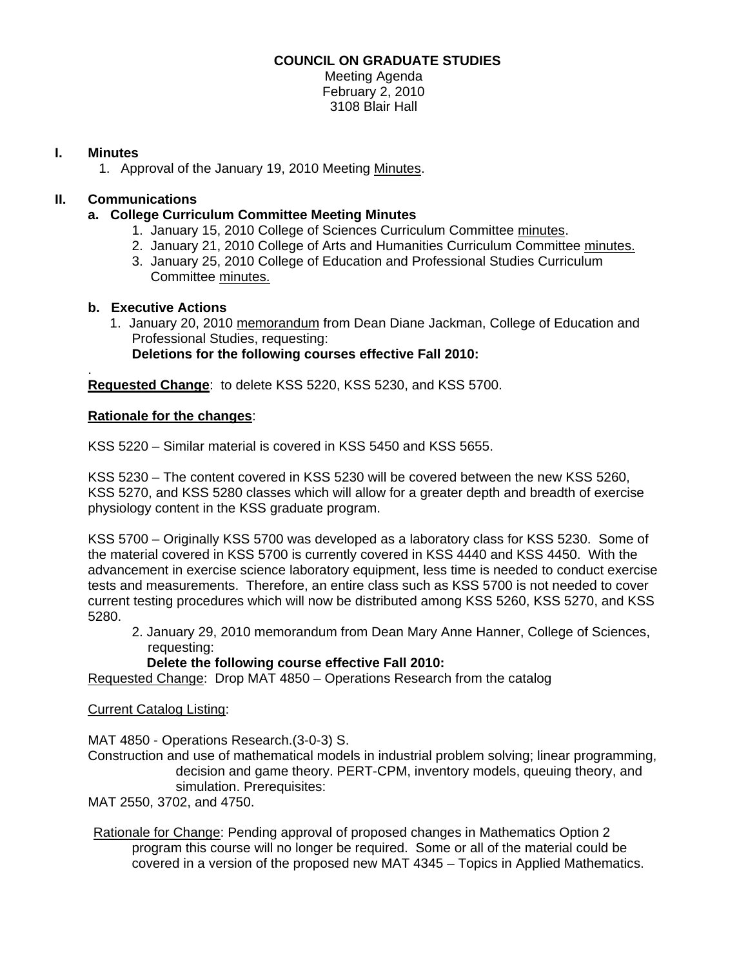## **COUNCIL ON GRADUATE STUDIES**

Meeting Agenda February 2, 2010 3108 Blair Hall

#### **I. Minutes**

1. Approval of the January 19, 2010 Meetin[g Minutes.](http://www.eiu.edu/~eiucgs/currentminutes/Minutes1-19-10.pdf) 

# **II. Communications**

- **a. College Curriculum Committee Meeting Minutes** 
	- 1. January 15, 2010 College of Sciences Curriculum Committe[e minutes.](http://www.eiu.edu/~eiucgs/currentagendaitems/COSMin1-15-10.pdf)
	- 2. January 21, 2010 College of Arts and Humanities Curriculum Committee [minutes.](http://www.eiu.edu/~eiucgs/currentagendaitems/CAHMin1-21-10.pdf)
	- 3. January 25, 2010 College of Education and Professional Studies Curriculum Committe[e minutes.](http://www.eiu.edu/~eiucgs/currentagendaitems/CEPSMin1-25-10.pdf)

## **b. Executive Actions**

 1. January 20, 201[0 memorandum f](http://www.eiu.edu/~eiucgs/currentagendaitems/CEPS-exec-act-1-20-10.pdf)rom Dean Diane Jackman, College of Education and Professional Studies, requesting:

**Deletions for the following courses effective Fall 2010:** 

. **Requested Change**: to delete KSS 5220, KSS 5230, and KSS 5700.

#### **Rationale for the changes**:

KSS 5220 – Similar material is covered in KSS 5450 and KSS 5655.

KSS 5230 – The content covered in KSS 5230 will be covered between the new KSS 5260, KSS 5270, and KSS 5280 classes which will allow for a greater depth and breadth of exercise physiology content in the KSS graduate program.

KSS 5700 – Originally KSS 5700 was developed as a laboratory class for KSS 5230. Some of the material covered in KSS 5700 is currently covered in KSS 4440 and KSS 4450. With the advancement in exercise science laboratory equipment, less time is needed to conduct exercise tests and measurements. Therefore, an entire class such as KSS 5700 is not needed to cover current testing procedures which will now be distributed among KSS 5260, KSS 5270, and KSS 5280.

 2. January 29, 201[0 memorandum f](http://www.eiu.edu/~eiucgs/currentagendaitems/COS-Exec-Act-1-29-10.pdf)rom Dean Mary Anne Hanner, College of Sciences, requesting:

## **Delete the following course effective Fall 2010:**

Requested Change: Drop MAT 4850 – Operations Research from the catalog

## Current Catalog Listing:

MAT 4850 - Operations Research.(3-0-3) S.

Construction and use of mathematical models in industrial problem solving; linear programming, decision and game theory. PERT-CPM, inventory models, queuing theory, and simulation. Prerequisites:

MAT 2550, 3702, and 4750.

Rationale for Change: Pending approval of proposed changes in Mathematics Option 2 program this course will no longer be required. Some or all of the material could be covered in a version of the proposed new MAT 4345 – Topics in Applied Mathematics.